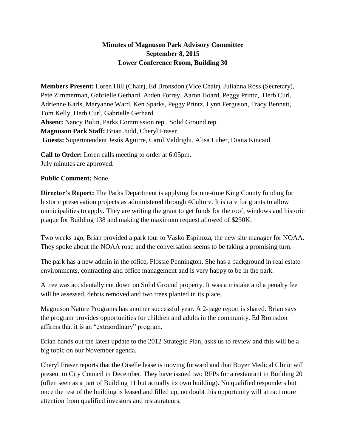## **Minutes of Magnuson Park Advisory Committee September 8, 2015 Lower Conference Room, Building 30**

**Members Present:** Loren Hill (Chair), Ed Bronsdon (Vice Chair), Julianna Ross (Secretary), Pete Zimmerman, Gabrielle Gerhard, Arden Forrey, Aaron Hoard, Peggy Printz, Herb Curl, Adrienne Karls, Maryanne Ward, Ken Sparks, Peggy Printz, Lynn Ferguson, Tracy Bennett, Tom Kelly, Herb Curl, Gabrielle Gerhard **Absent:** Nancy Bolin, Parks Commission rep., Solid Ground rep. **Magnuson Park Staff:** Brian Judd, Cheryl Fraser **Guests:** Superintendent Jesús Aguirre, Carol Valdrighi, Alisa Luber, Diana Kincaid

**Call to Order:** Loren calls meeting to order at 6:05pm. July minutes are approved.

## **Public Comment:** None.

**Director's Report:** The Parks Department is applying for one-time King County funding for historic preservation projects as administered through 4Culture. It is rare for grants to allow municipalities to apply. They are writing the grant to get funds for the roof, windows and historic plaque for Building 138 and making the maximum request allowed of \$250K.

Two weeks ago, Brian provided a park tour to Vasko Espinoza, the new site manager for NOAA. They spoke about the NOAA road and the conversation seems to be taking a promising turn.

The park has a new admin in the office, Flossie Pennington. She has a background in real estate environments, contracting and office management and is very happy to be in the park.

A tree was accidentally cut down on Solid Ground property. It was a mistake and a penalty fee will be assessed, debris removed and two trees planted in its place.

Magnuson Nature Programs has another successful year. A 2-page report is shared. Brian says the program provides opportunities for children and adults in the community. Ed Bronsdon affirms that it is an "extraordinary" program.

Brian hands out the latest update to the 2012 Strategic Plan, asks us to review and this will be a big topic on our November agenda.

Cheryl Fraser reports that the Oiselle lease is moving forward and that Boyer Medical Clinic will present to City Council in December. They have issued two RFPs for a restaurant in Building 20 (often seen as a part of Building 11 but actually its own building). No qualified responders but once the rest of the building is leased and filled up, no doubt this opportunity will attract more attention from qualified investors and restaurateurs.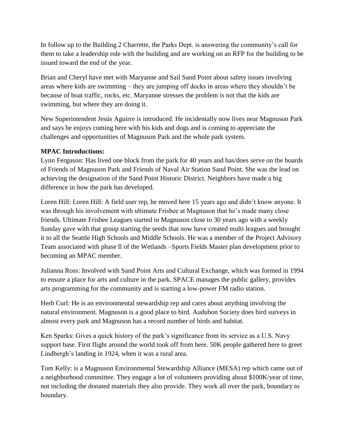In follow up to the Building 2 Charrette, the Parks Dept. is answering the community's call for them to take a leadership role with the building and are working on an RFP for the building to be issued toward the end of the year.

Brian and Cheryl have met with Maryanne and Sail Sand Point about safety issues involving areas where kids are swimming – they are jumping off docks in areas where they shouldn't be because of boat traffic, rocks, etc. Maryanne stresses the problem is not that the kids are swimming, but where they are doing it.

New Superintendent Jesús Aguirre is introduced. He incidentally now lives near Magnuson Park and says he enjoys coming here with his kids and dogs and is coming to appreciate the challenges and opportunities of Magnuson Park and the whole park system.

## **MPAC Introductions:**

Lynn Ferguson: Has lived one block from the park for 40 years and has/does serve on the boards of Friends of Magnuson Park and Friends of Naval Air Station Sand Point. She was the lead on achieving the designation of the Sand Point Historic District. Neighbors have made a big difference in how the park has developed.

Loren Hill: Loren Hill: A field user rep, he moved here 15 years ago and didn't know anyone. It was through his involvement with ultimate Frisbee at Magnuson that he's made many close friends. Ultimate Frisbee Leagues started in Magnuson close to 30 years ago with a weekly Sunday gave with that group starting the seeds that now have created multi leagues and brought it to all the Seattle High Schools and Middle Schools. He was a member of the Project Advisory Team associated with phase ll of the Wetlands –Sports Fields Master plan development prior to becoming an MPAC member.

Julianna Ross: Involved with Sand Point Arts and Cultural Exchange, which was formed in 1994 to ensure a place for arts and culture in the park. SPACE manages the public gallery, provides arts programming for the community and is starting a low-power FM radio station.

Herb Curl: He is an environmental stewardship rep and cares about anything involving the natural environment. Magnuson is a good place to bird. Audubon Society does bird surveys in almost every park and Magnuson has a record number of birds and habitat.

Ken Sparks: Gives a quick history of the park's significance from its service as a U.S. Navy support base. First flight around the world took off from here. 50K people gathered here to greet Lindbergh's landing in 1924, when it was a rural area.

Tom Kelly: is a Magnuson Environmental Stewardship Alliance (MESA) rep which came out of a neighborhood committee. They engage a lot of volunteers providing about \$100K/year of time, not including the donated materials they also provide. They work all over the park, boundary to boundary.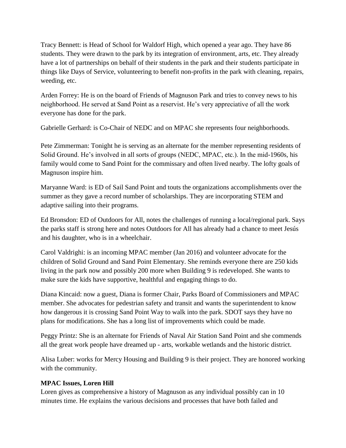Tracy Bennett: is Head of School for Waldorf High, which opened a year ago. They have 86 students. They were drawn to the park by its integration of environment, arts, etc. They already have a lot of partnerships on behalf of their students in the park and their students participate in things like Days of Service, volunteering to benefit non-profits in the park with cleaning, repairs, weeding, etc.

Arden Forrey: He is on the board of Friends of Magnuson Park and tries to convey news to his neighborhood. He served at Sand Point as a reservist. He's very appreciative of all the work everyone has done for the park.

Gabrielle Gerhard: is Co-Chair of NEDC and on MPAC she represents four neighborhoods.

Pete Zimmerman: Tonight he is serving as an alternate for the member representing residents of Solid Ground. He's involved in all sorts of groups (NEDC, MPAC, etc.). In the mid-1960s, his family would come to Sand Point for the commissary and often lived nearby. The lofty goals of Magnuson inspire him.

Maryanne Ward: is ED of Sail Sand Point and touts the organizations accomplishments over the summer as they gave a record number of scholarships. They are incorporating STEM and adaptive sailing into their programs.

Ed Bronsdon: ED of Outdoors for All, notes the challenges of running a local/regional park. Says the parks staff is strong here and notes Outdoors for All has already had a chance to meet Jesús and his daughter, who is in a wheelchair.

Carol Valdrighi: is an incoming MPAC member (Jan 2016) and volunteer advocate for the children of Solid Ground and Sand Point Elementary. She reminds everyone there are 250 kids living in the park now and possibly 200 more when Building 9 is redeveloped. She wants to make sure the kids have supportive, healthful and engaging things to do.

Diana Kincaid: now a guest, Diana is former Chair, Parks Board of Commissioners and MPAC member. She advocates for pedestrian safety and transit and wants the superintendent to know how dangerous it is crossing Sand Point Way to walk into the park. SDOT says they have no plans for modifications. She has a long list of improvements which could be made.

Peggy Printz: She is an alternate for Friends of Naval Air Station Sand Point and she commends all the great work people have dreamed up - arts, workable wetlands and the historic district.

Alisa Luber: works for Mercy Housing and Building 9 is their project. They are honored working with the community.

## **MPAC Issues, Loren Hill**

Loren gives as comprehensive a history of Magnuson as any individual possibly can in 10 minutes time. He explains the various decisions and processes that have both failed and